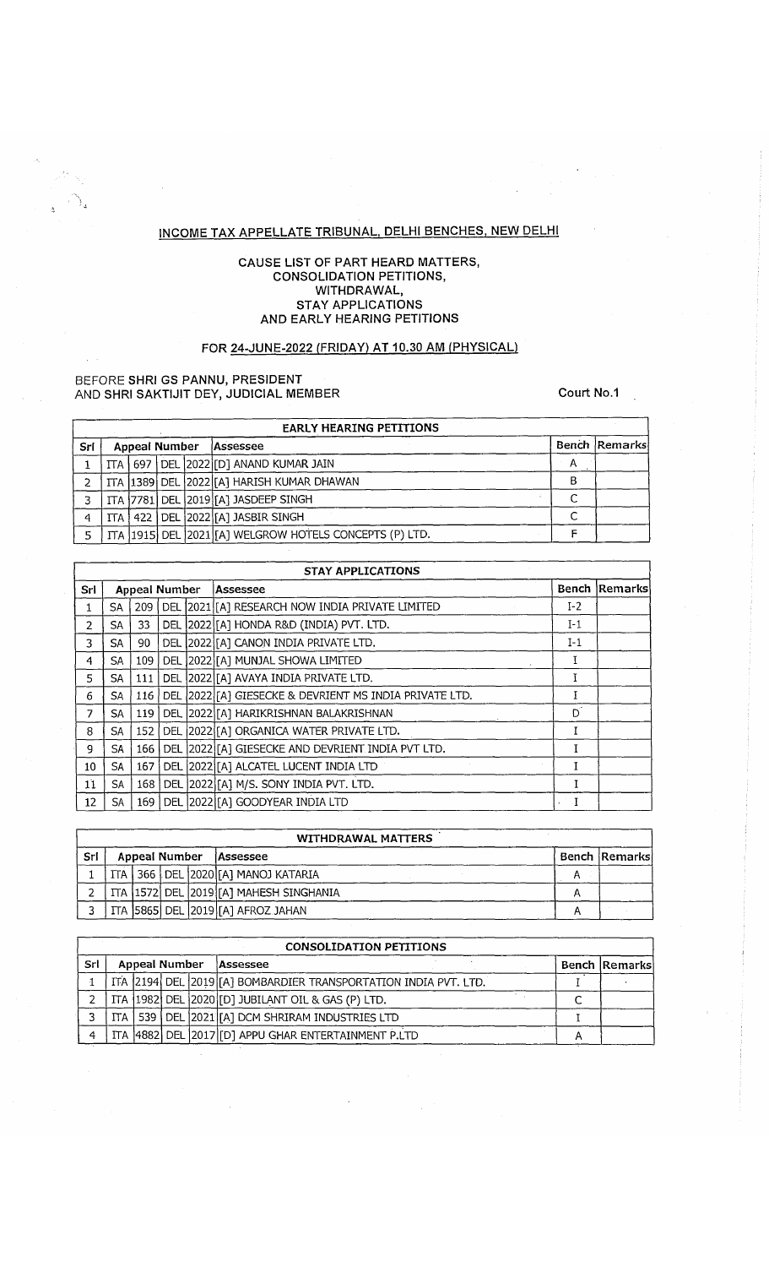# **INCOME TAX APPELLATE TRIBUNAL. DELHI BENCHES. NEW DELHI**

#### **CAUSE LIST OF PART HEARD MATTERS, CONSOLIDATION PETITIONS, WITHDRAWAL, STAY APPLICATIONS AND EARLY HEARING PETITIONS**

# **FOR 24-JUNE-2022 (FRIDAY) AT 10.30 AM (PHYSICAL)**

#### **BEFORE SHRI GS PANNU, PRESIDENT AND SHRI SAKTIJIT DEY, JUDICIAL MEMBER COULD AND SHRI SAKTIJIT DEY, JUDICIAL MEMBER**

 $\bar{z}$ 

an<br>Kabupatèn

ो,

|     | <b>EARLY HEARING PETITIONS</b> |               |  |  |                                                                |   |               |  |  |  |  |  |  |
|-----|--------------------------------|---------------|--|--|----------------------------------------------------------------|---|---------------|--|--|--|--|--|--|
| Sri |                                | Appeal Number |  |  | Assessee                                                       |   | Bench Remarks |  |  |  |  |  |  |
|     |                                |               |  |  | ITA 697 DEL 2022 [D] ANAND KUMAR JAIN                          |   |               |  |  |  |  |  |  |
|     |                                |               |  |  | ITA  1389   DEL   2022   [A] HARISH KUMAR DHAWAN               | в |               |  |  |  |  |  |  |
|     |                                |               |  |  | ITA 7781 DEL 2019 [A] JASDEEP SINGH                            |   |               |  |  |  |  |  |  |
| 4   |                                |               |  |  | ITA   422   DEL 2022 [A] JASBIR SINGH                          |   |               |  |  |  |  |  |  |
|     |                                |               |  |  | ITA   1915   DEL   2021   [A] WELGROW HOTELS CONCEPTS (P) LTD. |   |               |  |  |  |  |  |  |

|                 | <b>STAY APPLICATIONS</b> |                      |      |  |                                                            |             |               |  |  |  |  |  |  |
|-----------------|--------------------------|----------------------|------|--|------------------------------------------------------------|-------------|---------------|--|--|--|--|--|--|
| Srl             |                          | <b>Appeal Number</b> |      |  | Assessee                                                   |             | Bench Remarks |  |  |  |  |  |  |
|                 | SA.                      |                      |      |  | 209   DEL 2021 [A] RESEARCH NOW INDIA PRIVATE LIMITED      | $I-2$       |               |  |  |  |  |  |  |
| $\mathcal{P}$   | SA                       | 33                   |      |  | DEL 2022 [A] HONDA R&D (INDIA) PVT. LTD.                   | $I-1$       |               |  |  |  |  |  |  |
| 3               | SA                       | 90                   |      |  | DEL 2022 [A] CANON INDIA PRIVATE LTD.                      | $I-1$       |               |  |  |  |  |  |  |
| 4               | SA                       | 109                  |      |  | DEL 2022 [A] MUNJAL SHOWA LIMITED                          |             |               |  |  |  |  |  |  |
| 5.              | SA                       | 111                  |      |  | DEL 2022 [[A] AVAYA INDIA PRIVATE LTD.                     |             |               |  |  |  |  |  |  |
| 6               | SA.                      |                      |      |  | 116 DEL 2022 [A] GIESECKE & DEVRIENT MS INDIA PRIVATE LTD. |             |               |  |  |  |  |  |  |
| 7               | SA                       | 119 <sup>1</sup>     |      |  | DEL 2022 [A] HARIKRISHNAN BALAKRISHNAN                     | D.          |               |  |  |  |  |  |  |
| 8               | SA                       | 152                  |      |  | DEL 2022 [A] ORGANICA WATER PRIVATE LTD.                   |             |               |  |  |  |  |  |  |
| g.              | SA.                      | 166 l                |      |  | DEL 2022 [A] GIESECKE AND DEVRIENT INDIA PVT LTD.          |             |               |  |  |  |  |  |  |
| 10 <sup>°</sup> | SA                       | 167                  |      |  | DEL 2022 [A] ALCATEL LUCENT INDIA LTD                      |             |               |  |  |  |  |  |  |
| 11              | <b>SA</b>                | 168                  | DEL. |  | 2022 [A] M/S. SONY INDIA PVT. LTD.                         |             |               |  |  |  |  |  |  |
| 12              | SA.                      | <b>169</b>           |      |  | DEL 2022 [[A] GOODYEAR INDIA LTD                           | $\cdot$ . I |               |  |  |  |  |  |  |

|     | <b>WITHDRAWAL MATTERS</b> |  |  |  |                                                |  |               |  |  |  |  |  |  |
|-----|---------------------------|--|--|--|------------------------------------------------|--|---------------|--|--|--|--|--|--|
| Sri | <b>Appeal Number</b>      |  |  |  | <b>Assessee</b>                                |  | Bench Remarks |  |  |  |  |  |  |
|     |                           |  |  |  | ITA   366   DEL 2020 [[A] MANOJ KATARIA        |  |               |  |  |  |  |  |  |
|     |                           |  |  |  | ITA   1572   DEL   2019   [A] MAHESH SINGHANIA |  |               |  |  |  |  |  |  |
|     |                           |  |  |  | ITA 5865 DEL 2019 [A] AFROZ JAHAN              |  |               |  |  |  |  |  |  |

|     | <b>CONSOLIDATION PETITIONS</b> |               |  |                      |                                                                 |  |  |  |  |  |  |  |  |
|-----|--------------------------------|---------------|--|----------------------|-----------------------------------------------------------------|--|--|--|--|--|--|--|--|
| Srl |                                | Appeal Number |  | <b>Bench Remarks</b> |                                                                 |  |  |  |  |  |  |  |  |
|     |                                |               |  |                      | ITA 2194 DEL 2019 [A] BOMBARDIER TRANSPORTATION INDIA PVT. LTD. |  |  |  |  |  |  |  |  |
|     |                                |               |  |                      | ITA (1982) DEL (2020)[D] JUBILANT OIL & GAS (P) LTD.            |  |  |  |  |  |  |  |  |
|     |                                |               |  |                      | ITA   539   DEL   2021 [A] DCM SHRIRAM INDUSTRIES LTD           |  |  |  |  |  |  |  |  |
| Δ   |                                |               |  |                      | ITA 4882 DEL 2017 [D] APPU GHAR ENTERTAINMENT P.LTD             |  |  |  |  |  |  |  |  |

 $\bar{z}$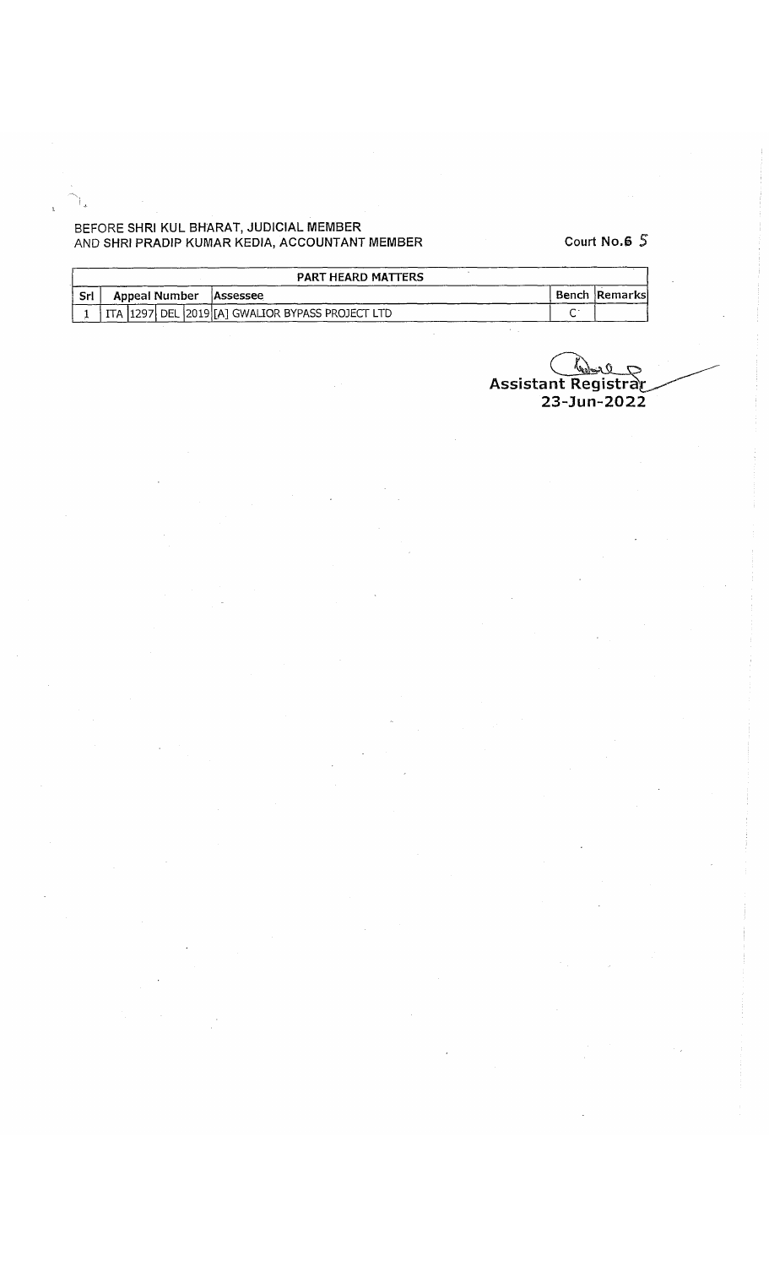### **BEFORE SHRI KUL BHARAT, JUDICIAL MEMBER AND SHRI PRADIP KUMAR KEDIA, ACCOUNTANT MEMBER Court N o .6 5**

|       | PART HEARD MATTERS     |  |  |                                                          |                          |  |                |  |  |  |  |
|-------|------------------------|--|--|----------------------------------------------------------|--------------------------|--|----------------|--|--|--|--|
| . Srl | Appeal Number Assessee |  |  |                                                          |                          |  | Bench Remarksl |  |  |  |  |
|       |                        |  |  | ITA   1297   DEL   2019   [A] GWALIOR BYPASS PROJECT LTD | $\overline{\phantom{a}}$ |  |                |  |  |  |  |

ح محولیا<br>Assistant Registrar  $Q$  (  $23 - Jun - 2022$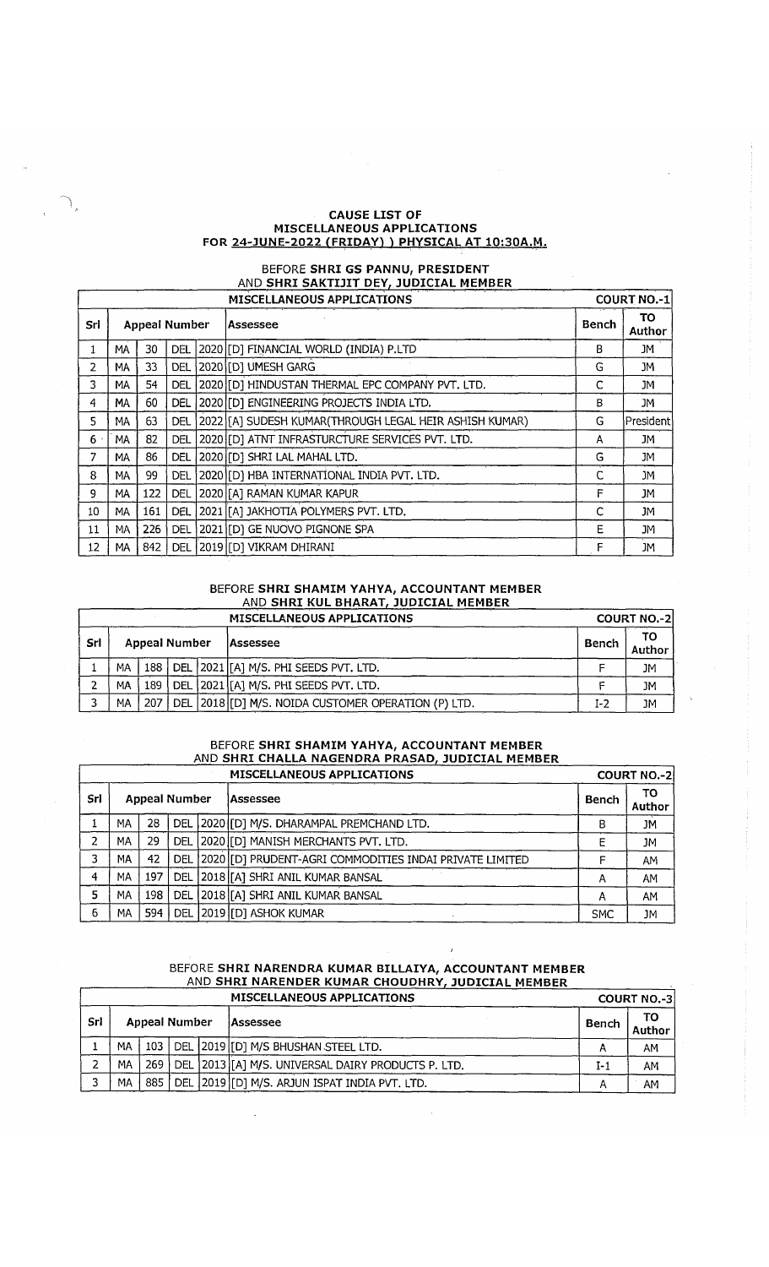#### **CAUSE LIST OF MISCELLANEOUS APPLICATIONS FOR 24-JUNE-2022 (FRIDAY) I PHYSICAL AT 10:30A.M.**

# BEFORE **SHRI GS PANNU, PRESIDENT** AND **SHRI SAKTIJIT DEY, JUDICIAL MEMBER**

|                | <b>MISCELLANEOUS APPLICATIONS</b> |     |                      |  |                                                         |              |              |  |  |  |
|----------------|-----------------------------------|-----|----------------------|--|---------------------------------------------------------|--------------|--------------|--|--|--|
| Srl            |                                   |     | <b>Appeal Number</b> |  | lAssessee                                               | <b>Bench</b> | TO<br>Author |  |  |  |
|                | MΑ                                | 30  | <b>DEL</b>           |  | 2020 [D] FINANCIAL WORLD (INDIA) P.LTD                  | В            | JM           |  |  |  |
| $\mathcal{P}$  | MΑ                                | 33  | <b>DEL</b>           |  | 2020 [D] UMESH GARG                                     | G            | JM           |  |  |  |
| 3              | МA                                | 54  | DEL                  |  | 2020 [O] HINDUSTAN THERMAL EPC COMPANY PVT. LTD.        | C            | JM.          |  |  |  |
| $\overline{4}$ | MA                                | 60  | DEL                  |  | 2020 [D] ENGINEERING PROJECTS INDIA LTD.                | В            | JM           |  |  |  |
| 5.             | MA                                | 63  | DEL                  |  | 2022 [A] SUDESH KUMAR (THROUGH LEGAL HEIR ASHISH KUMAR) | G            | President    |  |  |  |
| $6 \cdot$      | MA                                | 82  | DEL.                 |  | 2020 [D] ATNT INFRASTURCTURE SERVICES PVT. LTD.         | A            | JM           |  |  |  |
|                | МA                                | 86  | <b>DEL</b>           |  | 2020 [D] SHRI LAL MAHAL LTD.                            | G            | JM           |  |  |  |
| 8              | MA                                | 99  | DEL                  |  | 2020 [ID] HBA INTERNATIONAL INDIA PVT. LTD.             | C            | JM           |  |  |  |
| 9              | MA                                | 122 | <b>DEL</b>           |  | 2020 [[A] RAMAN KUMAR KAPUR                             | F            | JM           |  |  |  |
| 10             | MA                                | 161 | DEL                  |  | 2021 [[A] JAKHOTIA POLYMERS PVT. LTD.                   | C            | JM.          |  |  |  |
| 11             | MA                                | 226 | DEL                  |  | 2021 [D] GE NUOVO PIGNONE SPA                           | E            | JM           |  |  |  |
| 12             | MA                                | 842 | <b>DEL</b>           |  | 2019 [D] VIKRAM DHIRANI                                 | F            | JM           |  |  |  |

#### BEFORE **SHRI SHAMIM YAHYA, ACCOUNTANT MEMBER** AND **SHRI KUL BHARAT, JUDICIAL MEMBER**

|     |    |                      |  |  | MISCELLANEOUS APPLICATIONS                          |       | <b>COURT NO.-2</b> |
|-----|----|----------------------|--|--|-----------------------------------------------------|-------|--------------------|
| Srl |    | <b>Appeal Number</b> |  |  | lAssessee                                           | Bench | ΤО<br>Author       |
|     | MA | 188 l                |  |  | DEL   2021   [A] M/S. PHI SEEDS PVT. LTD.           |       | JM                 |
|     | МA | 189                  |  |  | DEL 2021 [[A] M/S. PHI SEEDS PVT. LTD.              |       | <b>JM</b>          |
|     | MA | 207                  |  |  | DEL 2018 [D] M/S. NOIDA CUSTOMER OPERATION (P) LTD. | $I-2$ | JM                 |

### BEFORE **SHRI SHAMIM YAHYA, ACCOUNTANT MEMBER** AND **SHRI CHALLA NAGENDRA PRASAD, JUDICIAL MEMBER**

|     |    |     |                      | <b>MISCELLANEOUS APPLICATIONS</b>                           |              | <b>COURT NO.-2</b> |
|-----|----|-----|----------------------|-------------------------------------------------------------|--------------|--------------------|
| Srl |    |     | <b>Appeal Number</b> | lAssessee                                                   | <b>Bench</b> | ΤО<br>Author       |
|     | МA | 28  |                      | DEL   2020   [D] M/S. DHARAMPAL PREMCHAND LTD.              | R            | JM                 |
| ግ   | МA | 29  |                      | DEL 2020 [D] MANISH MERCHANTS PVT. LTD.                     |              | JМ                 |
|     | МA | 42  |                      | DEL 2020 [D] PRUDENT-AGRI COMMODITIES INDAI PRIVATE LIMITED |              | AM                 |
| 4   | MA | 197 |                      | DEL 2018 [[A] SHRI ANIL KUMAR BANSAL                        |              | AM                 |
|     | MA | 198 |                      | DEL 2018 [A] SHRI ANIL KUMAR BANSAL                         | Α            | AM                 |
| 6   | МA | 594 |                      | DEL 2019 [D] ASHOK KUMAR                                    | <b>SMC</b>   | <b>JM</b>          |

### BEFORE **SHRI NARENDRA KUMAR BILLAIYA, ACCOUNTANT MEMBER** AND **SHRI NARENDER KUMAR CHOUDHRY, JUDICIAL MEMBER**

|                             |    |  |  | MISCELLANEOUS APPLICATIONS                                   |                 | <b>COURT NO.-3</b> |
|-----------------------------|----|--|--|--------------------------------------------------------------|-----------------|--------------------|
| Srl<br><b>Appeal Number</b> |    |  |  | Assessee                                                     | Bench<br>Author |                    |
|                             | MA |  |  | 103   DEL   2019 [[D] M/S BHUSHAN STEEL LTD.                 |                 | AM                 |
|                             | МA |  |  | 269   DEL   2013   [A] M/S. UNIVERSAL DAIRY PRODUCTS P. LTD. | I-1             | АΜ                 |
| h                           | MА |  |  | 885   DEL   2019   [D] M/S. ARJUN ISPAT INDIA PVT. LTD.      |                 | AM                 |

 $\bar{\mathcal{A}}$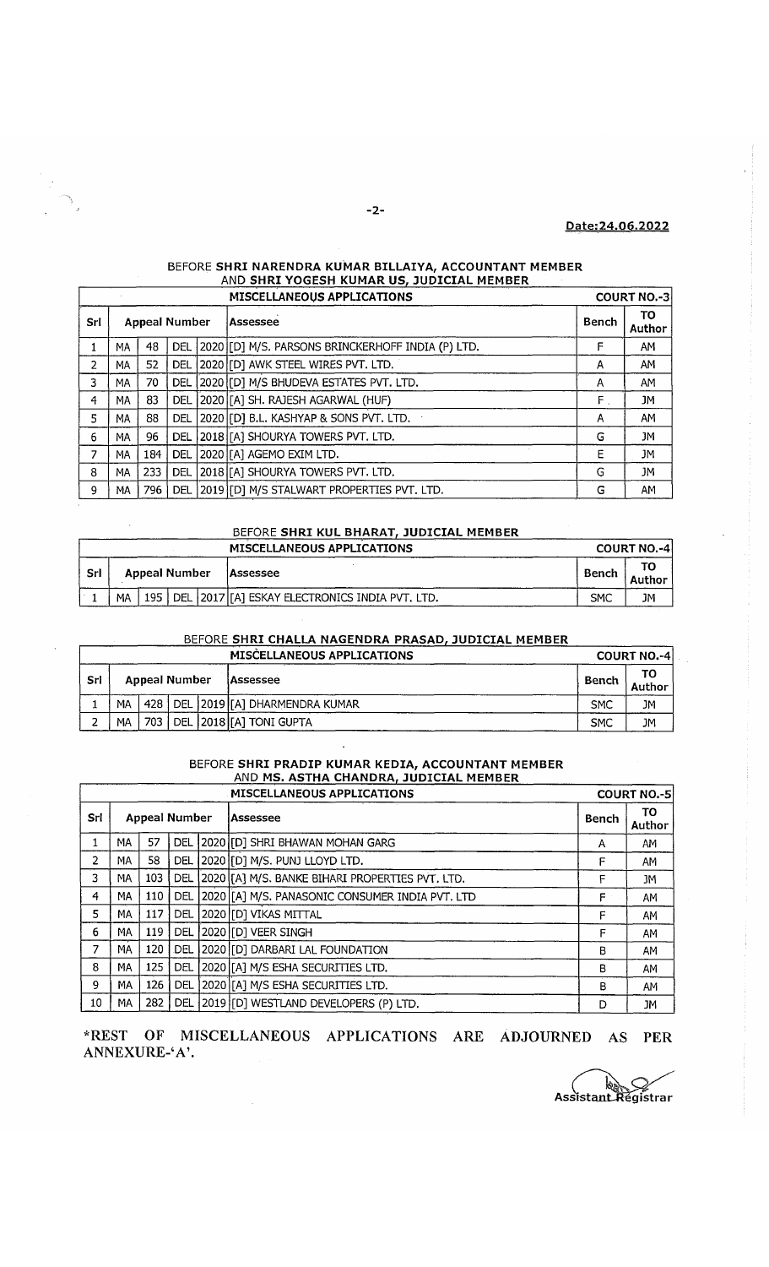# **Date: 24.06.2022**

## BEFORE **SHRI NARENDRA KUMAR BILLAIYA, ACCOUNTANT MEMBER** \_\_\_\_\_\_\_\_\_ AND **SHRI YOGESH KUMAR US, JUDICIAL MEMBER**

|     |    |     |            |                                  | <b>MISCELLANEOUS APPLICATIONS</b>                     | <b>COURT NO.-31</b> |              |
|-----|----|-----|------------|----------------------------------|-------------------------------------------------------|---------------------|--------------|
| Srl |    |     |            | <b>Appeal Number</b><br>Assessee |                                                       | Bench               | TO<br>Author |
|     | MA | 48  |            |                                  | DEL 2020 [D] M/S. PARSONS BRINCKERHOFF INDIA (P) LTD. | F                   | AM           |
| 2   | МA | 52  | <b>DEL</b> |                                  | 2020 [D] AWK STEEL WIRES PVT. LTD.                    | А                   | AM           |
| 3   | MA | 70  | <b>DEL</b> |                                  | 2020 [D] M/S BHUDEVA ESTATES PVT. LTD.                | A                   | AM           |
| 4   | MA | 83  | <b>DEL</b> |                                  | [2020 [[A] SH. RAJESH AGARWAL (HUF)                   | F.                  | JM           |
| 5   | MA | 88  | DEL        |                                  | 2020 [D] B.L. KASHYAP & SONS PVT. LTD.                | А                   | AM           |
| 6   | MA | 96  | <b>DEL</b> |                                  | [2018][A] SHOURYA TOWERS PVT. LTD.                    | G                   | JМ           |
| 7   | MA | 184 | <b>DEL</b> |                                  | 2020 [[A] AGEMO EXIM LTD.                             | Ε                   | JM           |
| 8   | MA | 233 | DEL        |                                  | 2018 [A] SHOURYA TOWERS PVT. LTD.                     | G                   | JM           |
| 9   | MA | 796 | DEL.       |                                  | [2019][D] M/S STALWART PROPERTIES PVT. LTD.           | G                   | AM           |

## BEFORE **SHRI KUL BHARAT, JUDICIAL MEMBER**

 $\bar{\phantom{a}}$ 

|      |    |                      |  | <b>MISCELLANEOUS APPLICATIONS</b>                        |            | <b>COURT NO.-41</b> |
|------|----|----------------------|--|----------------------------------------------------------|------------|---------------------|
| -Srl |    | <b>Appeal Number</b> |  | <b>Assessee</b>                                          | Bench      | Author              |
|      | MA |                      |  | 195   DEL   2017   [A] ESKAY ELECTRONICS INDIA PVT. LTD. | <b>SMC</b> | JM                  |

## BEFORE **SHRI CHALLA NAGENDRA PRASAD, JUDICIAL MEMBER**

|            |                      |  |  | MISCELLANEOUS APPLICATIONS               |            | <b>COURT NO.-4</b> |
|------------|----------------------|--|--|------------------------------------------|------------|--------------------|
| <b>Srl</b> | <b>Appeal Number</b> |  |  | <b>Assessee</b>                          | Bench      |                    |
|            | MА                   |  |  | . 428   DEL  2019 [[A] DHARMENDRA KUMAR- | <b>SMC</b> | JМ                 |
|            | MA                   |  |  | 703   DEL   2018   [A] TONI GUPTA        | <b>SMC</b> | JM                 |

#### BEFORE **SHRI PRADIP KUMAR KEDIA, ACCOUNTANT MEMBER** \_\_\_\_\_\_\_ AND **MS. ASTHA CHANDRA, JUDICIAL MEMBER\_\_\_\_\_\_**

|                | <b>COURT NO.-5</b>   |     |            |  |                                                  |       |              |
|----------------|----------------------|-----|------------|--|--------------------------------------------------|-------|--------------|
| Srl            | <b>Appeal Number</b> |     |            |  | lAssessee                                        | Bench | TO<br>Author |
| 1              | MA                   | 57  | <b>DEL</b> |  | [2020 [[D] SHRI BHAWAN MOHAN GARG                | A     | AM           |
| $\overline{2}$ | MA                   | 58  | <b>DEL</b> |  | 2020 [D] M/S. PUNJ LLOYD LTD.                    | F     | AM           |
| 3              | MA.                  | 103 | <b>DEL</b> |  | 2020 [[A] M/S. BANKE BIHARI PROPERTIES PVT. LTD. | F     | JM           |
| 4              | MA                   | 110 | DEL        |  | [2020][A] M/S. PANASONIC CONSUMER INDIA PVT. LTD | F.    | AM           |
| 5              | MA                   | 117 | DEL        |  | 2020 [D] VIKAS MITTAL                            | F     | AM           |
| 6              | MA                   | 119 | <b>DEL</b> |  | 2020 [D] VEER SINGH                              | F     | AM           |
| 7              | МA                   | 120 | DEL        |  | 2020 [D] DARBARI LAL FOUNDATION                  | В     | AM           |
| 8              | MA                   | 125 | <b>DEL</b> |  | [2020][A] M/S ESHA SECURITIES LTD.               | в     | AM           |
| 9              | MA                   | 126 | <b>DEL</b> |  | 2020 [[A] M/S ESHA SECURITIES LTD.               | в     | AM           |
| 10             | МA                   | 282 | DEL        |  | [2019][D] WESTLAND DEVELOPERS (P) LTD.           | D     | JM           |

# **\*REST OF MISCELLANEOUS APPLICATIONS ARE ADJOURNED AS PER ANNEXURE-'A \**

Assistant Régistrar